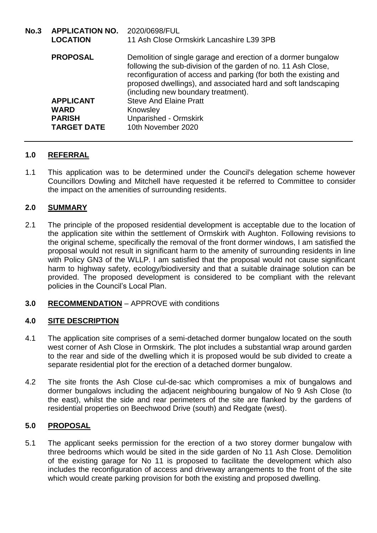| No.3 | APPLICATION NO. 2020/0698/FUL<br><b>LOCATION</b> | 11 Ash Close Ormskirk Lancashire L39 3PB                                                                                                                                                                                                                                                                   |
|------|--------------------------------------------------|------------------------------------------------------------------------------------------------------------------------------------------------------------------------------------------------------------------------------------------------------------------------------------------------------------|
|      | <b>PROPOSAL</b>                                  | Demolition of single garage and erection of a dormer bungalow<br>following the sub-division of the garden of no. 11 Ash Close,<br>reconfiguration of access and parking (for both the existing and<br>proposed dwellings), and associated hard and soft landscaping<br>(including new boundary treatment). |
|      | <b>APPLICANT</b>                                 | <b>Steve And Elaine Pratt</b>                                                                                                                                                                                                                                                                              |
|      | <b>WARD</b>                                      | Knowsley                                                                                                                                                                                                                                                                                                   |
|      | <b>PARISH</b>                                    | <b>Unparished - Ormskirk</b>                                                                                                                                                                                                                                                                               |
|      | <b>TARGET DATE</b>                               | 10th November 2020                                                                                                                                                                                                                                                                                         |

# **1.0 REFERRAL**

1.1 This application was to be determined under the Council's delegation scheme however Councillors Dowling and Mitchell have requested it be referred to Committee to consider the impact on the amenities of surrounding residents.

## **2.0 SUMMARY**

- 2.1 The principle of the proposed residential development is acceptable due to the location of the application site within the settlement of Ormskirk with Aughton. Following revisions to the original scheme, specifically the removal of the front dormer windows, I am satisfied the proposal would not result in significant harm to the amenity of surrounding residents in line with Policy GN3 of the WLLP. I am satisfied that the proposal would not cause significant harm to highway safety, ecology/biodiversity and that a suitable drainage solution can be provided. The proposed development is considered to be compliant with the relevant policies in the Council's Local Plan.
- **3.0 RECOMMENDATION** APPROVE with conditions

## **4.0 SITE DESCRIPTION**

- 4.1 The application site comprises of a semi-detached dormer bungalow located on the south west corner of Ash Close in Ormskirk. The plot includes a substantial wrap around garden to the rear and side of the dwelling which it is proposed would be sub divided to create a separate residential plot for the erection of a detached dormer bungalow.
- 4.2 The site fronts the Ash Close cul-de-sac which compromises a mix of bungalows and dormer bungalows including the adjacent neighbouring bungalow of No 9 Ash Close (to the east), whilst the side and rear perimeters of the site are flanked by the gardens of residential properties on Beechwood Drive (south) and Redgate (west).

## **5.0 PROPOSAL**

5.1 The applicant seeks permission for the erection of a two storey dormer bungalow with three bedrooms which would be sited in the side garden of No 11 Ash Close. Demolition of the existing garage for No 11 is proposed to facilitate the development which also includes the reconfiguration of access and driveway arrangements to the front of the site which would create parking provision for both the existing and proposed dwelling.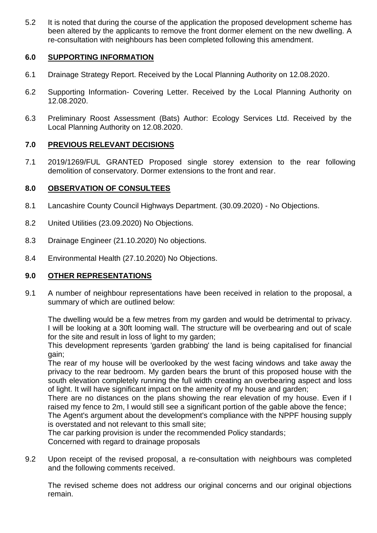5.2 It is noted that during the course of the application the proposed development scheme has been altered by the applicants to remove the front dormer element on the new dwelling. A re-consultation with neighbours has been completed following this amendment.

### **6.0 SUPPORTING INFORMATION**

- 6.1 Drainage Strategy Report. Received by the Local Planning Authority on 12.08.2020.
- 6.2 Supporting Information- Covering Letter. Received by the Local Planning Authority on 12.08.2020.
- 6.3 Preliminary Roost Assessment (Bats) Author: Ecology Services Ltd. Received by the Local Planning Authority on 12.08.2020.

### **7.0 PREVIOUS RELEVANT DECISIONS**

7.1 2019/1269/FUL GRANTED Proposed single storey extension to the rear following demolition of conservatory. Dormer extensions to the front and rear.

## **8.0 OBSERVATION OF CONSULTEES**

- 8.1 Lancashire County Council Highways Department. (30.09.2020) No Objections.
- 8.2 United Utilities (23.09.2020) No Objections.
- 8.3 Drainage Engineer (21.10.2020) No objections.
- 8.4 Environmental Health (27.10.2020) No Objections.

## **9.0 OTHER REPRESENTATIONS**

9.1 A number of neighbour representations have been received in relation to the proposal, a summary of which are outlined below:

The dwelling would be a few metres from my garden and would be detrimental to privacy. I will be looking at a 30ft looming wall. The structure will be overbearing and out of scale for the site and result in loss of light to my garden;

This development represents 'garden grabbing' the land is being capitalised for financial gain;

The rear of my house will be overlooked by the west facing windows and take away the privacy to the rear bedroom. My garden bears the brunt of this proposed house with the south elevation completely running the full width creating an overbearing aspect and loss of light. It will have significant impact on the amenity of my house and garden;

There are no distances on the plans showing the rear elevation of my house. Even if I raised my fence to 2m, I would still see a significant portion of the gable above the fence;

The Agent's argument about the development's compliance with the NPPF housing supply is overstated and not relevant to this small site;

The car parking provision is under the recommended Policy standards; Concerned with regard to drainage proposals

9.2 Upon receipt of the revised proposal, a re-consultation with neighbours was completed and the following comments received.

The revised scheme does not address our original concerns and our original objections remain.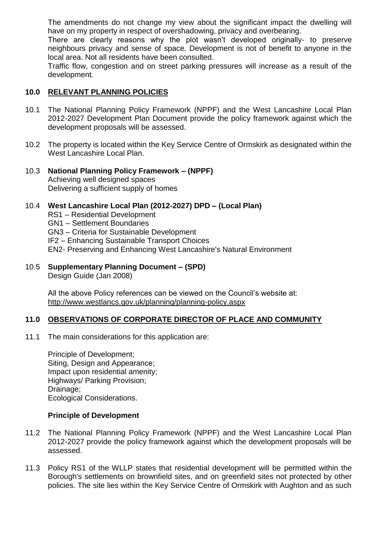The amendments do not change my view about the significant impact the dwelling will have on my property in respect of overshadowing, privacy and overbearing.

There are clearly reasons why the plot wasn't developed originally- to preserve neighbours privacy and sense of space. Development is not of benefit to anyone in the local area. Not all residents have been consulted.

Traffic flow, congestion and on street parking pressures will increase as a result of the development.

### **10.0 RELEVANT PLANNING POLICIES**

- 10.1 The National Planning Policy Framework (NPPF) and the West Lancashire Local Plan 2012-2027 Development Plan Document provide the policy framework against which the development proposals will be assessed.
- 10.2 The property is located within the Key Service Centre of Ormskirk as designated within the West Lancashire Local Plan.
- 10.3 **National Planning Policy Framework – (NPPF)** Achieving well designed spaces Delivering a sufficient supply of homes

#### 10.4 **West Lancashire Local Plan (2012-2027) DPD – (Local Plan)**

- RS1 Residential Development
- GN1 Settlement Boundaries
- GN3 Criteria for Sustainable Development
- IF2 Enhancing Sustainable Transport Choices
- EN2- Preserving and Enhancing West Lancashire's Natural Environment
- 10.5 **Supplementary Planning Document – (SPD)** Design Guide (Jan 2008)

All the above Policy references can be viewed on the Council's website at: http://www.westlancs.gov.uk/planning/planning-policy.aspx

#### **11.0 OBSERVATIONS OF CORPORATE DIRECTOR OF PLACE AND COMMUNITY**

11.1 The main considerations for this application are:

Principle of Development; Siting, Design and Appearance; Impact upon residential amenity; Highways/ Parking Provision; Drainage; Ecological Considerations.

#### **Principle of Development**

- 11.2 The National Planning Policy Framework (NPPF) and the West Lancashire Local Plan 2012-2027 provide the policy framework against which the development proposals will be assessed.
- 11.3 Policy RS1 of the WLLP states that residential development will be permitted within the Borough's settlements on brownfield sites, and on greenfield sites not protected by other policies. The site lies within the Key Service Centre of Ormskirk with Aughton and as such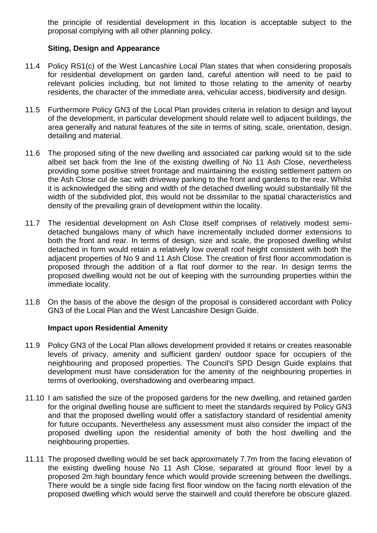the principle of residential development in this location is acceptable subject to the proposal complying with all other planning policy.

### **Siting, Design and Appearance**

- 11.4 Policy RS1(c) of the West Lancashire Local Plan states that when considering proposals for residential development on garden land, careful attention will need to be paid to relevant policies including, but not limited to those relating to the amenity of nearby residents, the character of the immediate area, vehicular access, biodiversity and design.
- 11.5 Furthermore Policy GN3 of the Local Plan provides criteria in relation to design and layout of the development, in particular development should relate well to adjacent buildings, the area generally and natural features of the site in terms of siting, scale, orientation, design, detailing and material.
- 11.6 The proposed siting of the new dwelling and associated car parking would sit to the side albeit set back from the line of the existing dwelling of No 11 Ash Close, nevertheless providing some positive street frontage and maintaining the existing settlement pattern on the Ash Close cul de sac with driveway parking to the front and gardens to the rear. Whilst it is acknowledged the siting and width of the detached dwelling would substantially fill the width of the subdivided plot, this would not be dissimilar to the spatial characteristics and density of the prevailing grain of development within the locality.
- 11.7 The residential development on Ash Close itself comprises of relatively modest semidetached bungalows many of which have incrementally included dormer extensions to both the front and rear. In terms of design, size and scale, the proposed dwelling whilst detached in form would retain a relatively low overall roof height consistent with both the adjacent properties of No 9 and 11 Ash Close. The creation of first floor accommodation is proposed through the addition of a flat roof dormer to the rear. In design terms the proposed dwelling would not be out of keeping with the surrounding properties within the immediate locality.
- 11.8 On the basis of the above the design of the proposal is considered accordant with Policy GN3 of the Local Plan and the West Lancashire Design Guide.

#### **Impact upon Residential Amenity**

- 11.9 Policy GN3 of the Local Plan allows development provided it retains or creates reasonable levels of privacy, amenity and sufficient garden/ outdoor space for occupiers of the neighbouring and proposed properties. The Council's SPD Design Guide explains that development must have consideration for the amenity of the neighbouring properties in terms of overlooking, overshadowing and overbearing impact.
- 11.10 I am satisfied the size of the proposed gardens for the new dwelling, and retained garden for the original dwelling house are sufficient to meet the standards required by Policy GN3 and that the proposed dwelling would offer a satisfactory standard of residential amenity for future occupants. Nevertheless any assessment must also consider the impact of the proposed dwelling upon the residential amenity of both the host dwelling and the neighbouring properties.
- 11.11 The proposed dwelling would be set back approximately 7.7m from the facing elevation of the existing dwelling house No 11 Ash Close, separated at ground floor level by a proposed 2m high boundary fence which would provide screening between the dwellings. There would be a single side facing first floor window on the facing north elevation of the proposed dwelling which would serve the stairwell and could therefore be obscure glazed.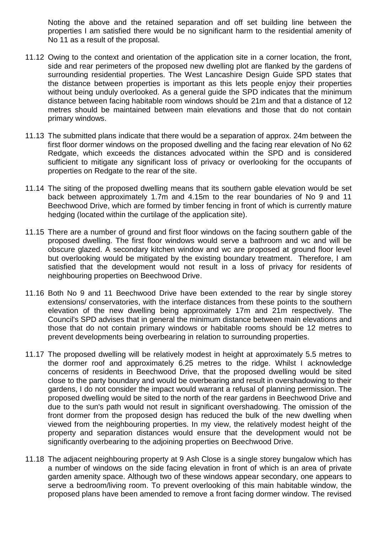Noting the above and the retained separation and off set building line between the properties I am satisfied there would be no significant harm to the residential amenity of No 11 as a result of the proposal.

- 11.12 Owing to the context and orientation of the application site in a corner location, the front, side and rear perimeters of the proposed new dwelling plot are flanked by the gardens of surrounding residential properties. The West Lancashire Design Guide SPD states that the distance between properties is important as this lets people enjoy their properties without being unduly overlooked. As a general guide the SPD indicates that the minimum distance between facing habitable room windows should be 21m and that a distance of 12 metres should be maintained between main elevations and those that do not contain primary windows.
- 11.13 The submitted plans indicate that there would be a separation of approx. 24m between the first floor dormer windows on the proposed dwelling and the facing rear elevation of No 62 Redgate, which exceeds the distances advocated within the SPD and is considered sufficient to mitigate any significant loss of privacy or overlooking for the occupants of properties on Redgate to the rear of the site.
- 11.14 The siting of the proposed dwelling means that its southern gable elevation would be set back between approximately 1.7m and 4.15m to the rear boundaries of No 9 and 11 Beechwood Drive, which are formed by timber fencing in front of which is currently mature hedging (located within the curtilage of the application site).
- 11.15 There are a number of ground and first floor windows on the facing southern gable of the proposed dwelling. The first floor windows would serve a bathroom and wc and will be obscure glazed. A secondary kitchen window and wc are proposed at ground floor level but overlooking would be mitigated by the existing boundary treatment. Therefore, I am satisfied that the development would not result in a loss of privacy for residents of neighbouring properties on Beechwood Drive.
- 11.16 Both No 9 and 11 Beechwood Drive have been extended to the rear by single storey extensions/ conservatories, with the interface distances from these points to the southern elevation of the new dwelling being approximately 17m and 21m respectively. The Council's SPD advises that in general the minimum distance between main elevations and those that do not contain primary windows or habitable rooms should be 12 metres to prevent developments being overbearing in relation to surrounding properties.
- 11.17 The proposed dwelling will be relatively modest in height at approximately 5.5 metres to the dormer roof and approximately 6.25 metres to the ridge. Whilst I acknowledge concerns of residents in Beechwood Drive, that the proposed dwelling would be sited close to the party boundary and would be overbearing and result in overshadowing to their gardens, I do not consider the impact would warrant a refusal of planning permission. The proposed dwelling would be sited to the north of the rear gardens in Beechwood Drive and due to the sun's path would not result in significant overshadowing. The omission of the front dormer from the proposed design has reduced the bulk of the new dwelling when viewed from the neighbouring properties. In my view, the relatively modest height of the property and separation distances would ensure that the development would not be significantly overbearing to the adjoining properties on Beechwood Drive.
- 11.18 The adjacent neighbouring property at 9 Ash Close is a single storey bungalow which has a number of windows on the side facing elevation in front of which is an area of private garden amenity space. Although two of these windows appear secondary, one appears to serve a bedroom/living room. To prevent overlooking of this main habitable window, the proposed plans have been amended to remove a front facing dormer window. The revised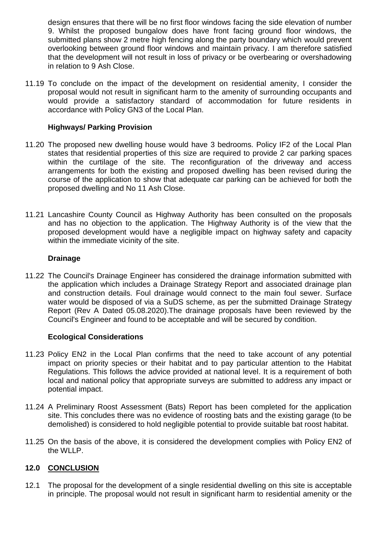design ensures that there will be no first floor windows facing the side elevation of number 9. Whilst the proposed bungalow does have front facing ground floor windows, the submitted plans show 2 metre high fencing along the party boundary which would prevent overlooking between ground floor windows and maintain privacy. I am therefore satisfied that the development will not result in loss of privacy or be overbearing or overshadowing in relation to 9 Ash Close.

11.19 To conclude on the impact of the development on residential amenity, I consider the proposal would not result in significant harm to the amenity of surrounding occupants and would provide a satisfactory standard of accommodation for future residents in accordance with Policy GN3 of the Local Plan.

### **Highways/ Parking Provision**

- 11.20 The proposed new dwelling house would have 3 bedrooms. Policy IF2 of the Local Plan states that residential properties of this size are required to provide 2 car parking spaces within the curtilage of the site. The reconfiguration of the driveway and access arrangements for both the existing and proposed dwelling has been revised during the course of the application to show that adequate car parking can be achieved for both the proposed dwelling and No 11 Ash Close.
- 11.21 Lancashire County Council as Highway Authority has been consulted on the proposals and has no objection to the application. The Highway Authority is of the view that the proposed development would have a negligible impact on highway safety and capacity within the immediate vicinity of the site.

#### **Drainage**

11.22 The Council's Drainage Engineer has considered the drainage information submitted with the application which includes a Drainage Strategy Report and associated drainage plan and construction details. Foul drainage would connect to the main foul sewer. Surface water would be disposed of via a SuDS scheme, as per the submitted Drainage Strategy Report (Rev A Dated 05.08.2020).The drainage proposals have been reviewed by the Council's Engineer and found to be acceptable and will be secured by condition.

#### **Ecological Considerations**

- 11.23 Policy EN2 in the Local Plan confirms that the need to take account of any potential impact on priority species or their habitat and to pay particular attention to the Habitat Regulations. This follows the advice provided at national level. It is a requirement of both local and national policy that appropriate surveys are submitted to address any impact or potential impact.
- 11.24 A Preliminary Roost Assessment (Bats) Report has been completed for the application site. This concludes there was no evidence of roosting bats and the existing garage (to be demolished) is considered to hold negligible potential to provide suitable bat roost habitat.
- 11.25 On the basis of the above, it is considered the development complies with Policy EN2 of the WLLP.

## **12.0 CONCLUSION**

12.1 The proposal for the development of a single residential dwelling on this site is acceptable in principle. The proposal would not result in significant harm to residential amenity or the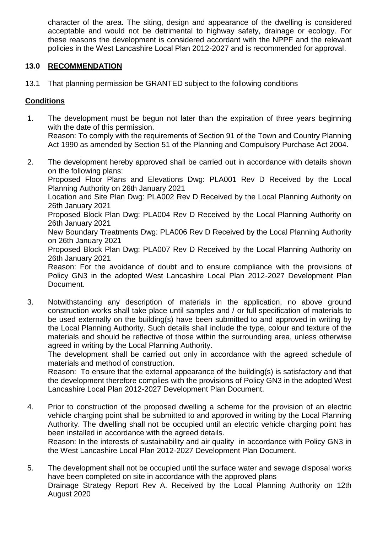character of the area. The siting, design and appearance of the dwelling is considered acceptable and would not be detrimental to highway safety, drainage or ecology. For these reasons the development is considered accordant with the NPPF and the relevant policies in the West Lancashire Local Plan 2012-2027 and is recommended for approval.

### **13.0 RECOMMENDATION**

13.1 That planning permission be GRANTED subject to the following conditions

### **Conditions**

- 1. The development must be begun not later than the expiration of three years beginning with the date of this permission. Reason: To comply with the requirements of Section 91 of the Town and Country Planning Act 1990 as amended by Section 51 of the Planning and Compulsory Purchase Act 2004.
- 2. The development hereby approved shall be carried out in accordance with details shown on the following plans:

Proposed Floor Plans and Elevations Dwg: PLA001 Rev D Received by the Local Planning Authority on 26th January 2021

Location and Site Plan Dwg: PLA002 Rev D Received by the Local Planning Authority on 26th January 2021

Proposed Block Plan Dwg: PLA004 Rev D Received by the Local Planning Authority on 26th January 2021

New Boundary Treatments Dwg: PLA006 Rev D Received by the Local Planning Authority on 26th January 2021

Proposed Block Plan Dwg: PLA007 Rev D Received by the Local Planning Authority on 26th January 2021

Reason: For the avoidance of doubt and to ensure compliance with the provisions of Policy GN3 in the adopted West Lancashire Local Plan 2012-2027 Development Plan Document.

3. Notwithstanding any description of materials in the application, no above ground construction works shall take place until samples and / or full specification of materials to be used externally on the building(s) have been submitted to and approved in writing by the Local Planning Authority. Such details shall include the type, colour and texture of the materials and should be reflective of those within the surrounding area, unless otherwise agreed in writing by the Local Planning Authority.

The development shall be carried out only in accordance with the agreed schedule of materials and method of construction.

Reason: To ensure that the external appearance of the building(s) is satisfactory and that the development therefore complies with the provisions of Policy GN3 in the adopted West Lancashire Local Plan 2012-2027 Development Plan Document.

4. Prior to construction of the proposed dwelling a scheme for the provision of an electric vehicle charging point shall be submitted to and approved in writing by the Local Planning Authority. The dwelling shall not be occupied until an electric vehicle charging point has been installed in accordance with the agreed details.

Reason: In the interests of sustainability and air quality in accordance with Policy GN3 in the West Lancashire Local Plan 2012-2027 Development Plan Document.

5. The development shall not be occupied until the surface water and sewage disposal works have been completed on site in accordance with the approved plans Drainage Strategy Report Rev A. Received by the Local Planning Authority on 12th August 2020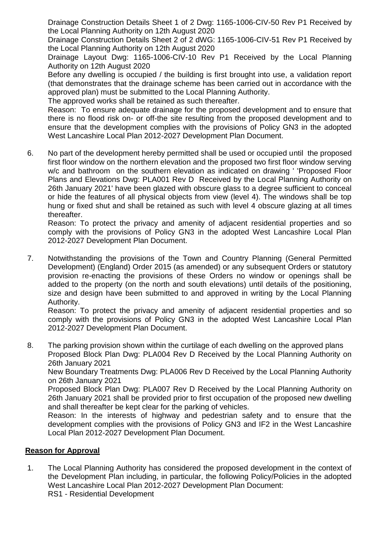Drainage Construction Details Sheet 1 of 2 Dwg: 1165-1006-CIV-50 Rev P1 Received by the Local Planning Authority on 12th August 2020

Drainage Construction Details Sheet 2 of 2 dWG: 1165-1006-CIV-51 Rev P1 Received by the Local Planning Authority on 12th August 2020

Drainage Layout Dwg: 1165-1006-CIV-10 Rev P1 Received by the Local Planning Authority on 12th August 2020

Before any dwelling is occupied / the building is first brought into use, a validation report (that demonstrates that the drainage scheme has been carried out in accordance with the approved plan) must be submitted to the Local Planning Authority.

The approved works shall be retained as such thereafter.

Reason: To ensure adequate drainage for the proposed development and to ensure that there is no flood risk on- or off-the site resulting from the proposed development and to ensure that the development complies with the provisions of Policy GN3 in the adopted West Lancashire Local Plan 2012-2027 Development Plan Document.

6. No part of the development hereby permitted shall be used or occupied until the proposed first floor window on the northern elevation and the proposed two first floor window serving w/c and bathroom on the southern elevation as indicated on drawing ' 'Proposed Floor Plans and Elevations Dwg: PLA001 Rev D Received by the Local Planning Authority on 26th January 2021' have been glazed with obscure glass to a degree sufficient to conceal or hide the features of all physical objects from view (level 4). The windows shall be top hung or fixed shut and shall be retained as such with level 4 obscure glazing at all times thereafter.

Reason: To protect the privacy and amenity of adjacent residential properties and so comply with the provisions of Policy GN3 in the adopted West Lancashire Local Plan 2012-2027 Development Plan Document.

7. Notwithstanding the provisions of the Town and Country Planning (General Permitted Development) (England) Order 2015 (as amended) or any subsequent Orders or statutory provision re-enacting the provisions of these Orders no window or openings shall be added to the property (on the north and south elevations) until details of the positioning, size and design have been submitted to and approved in writing by the Local Planning Authority.

Reason: To protect the privacy and amenity of adjacent residential properties and so comply with the provisions of Policy GN3 in the adopted West Lancashire Local Plan 2012-2027 Development Plan Document.

8. The parking provision shown within the curtilage of each dwelling on the approved plans Proposed Block Plan Dwg: PLA004 Rev D Received by the Local Planning Authority on 26th January 2021

New Boundary Treatments Dwg: PLA006 Rev D Received by the Local Planning Authority on 26th January 2021

Proposed Block Plan Dwg: PLA007 Rev D Received by the Local Planning Authority on 26th January 2021 shall be provided prior to first occupation of the proposed new dwelling and shall thereafter be kept clear for the parking of vehicles.

Reason: In the interests of highway and pedestrian safety and to ensure that the development complies with the provisions of Policy GN3 and IF2 in the West Lancashire Local Plan 2012-2027 Development Plan Document.

#### **Reason for Approval**

1. The Local Planning Authority has considered the proposed development in the context of the Development Plan including, in particular, the following Policy/Policies in the adopted West Lancashire Local Plan 2012-2027 Development Plan Document: RS1 - Residential Development